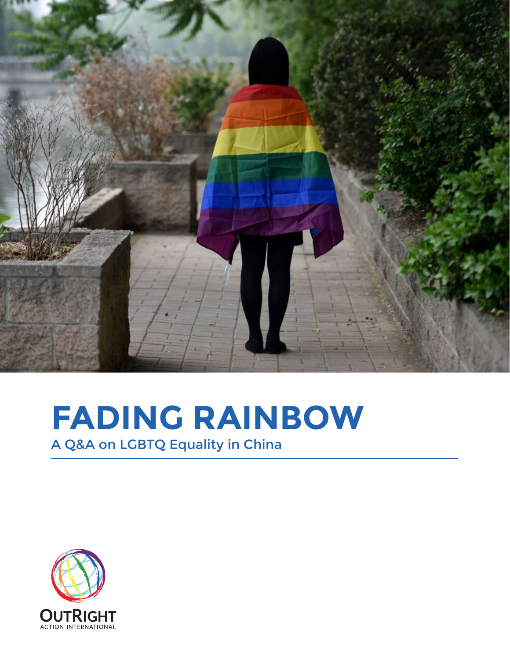

# **FADING RAINBOW**

A Q&A on LGBTQ Equality in China

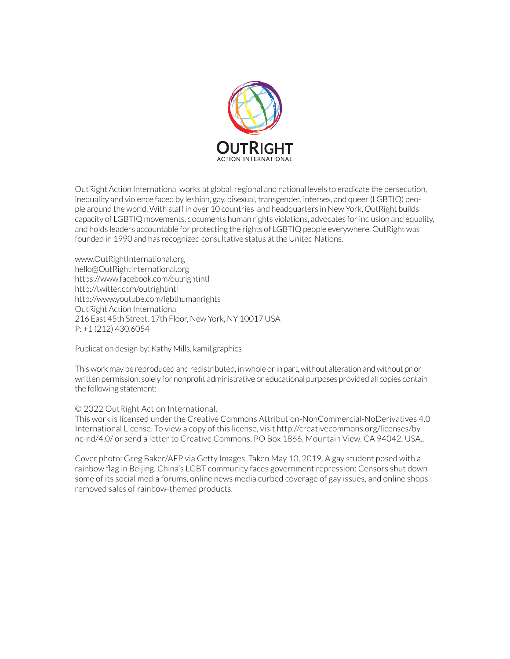

OutRight Action International works at global, regional and national levels to eradicate the persecution, inequality and violence faced by lesbian, gay, bisexual, transgender, intersex, and queer (LGBTIQ) people around the world. With staff in over 10 countries and headquarters in New York, OutRight builds capacity of LGBTIQ movements, documents human rights violations, advocates for inclusion and equality, and holds leaders accountable for protecting the rights of LGBTIQ people everywhere. OutRight was founded in 1990 and has recognized consultative status at the United Nations.

www.OutRightInternational.org hello@OutRightInternational.org https://www.facebook.com/outrightintl http://twitter.com/outrightintl http://www.youtube.com/lgbthumanrights OutRight Action International 216 East 45th Street, 17th Floor, New York, NY 10017 USA P: +1 (212) 430.6054

Publication design by: Kathy Mills, kamil.graphics

This work may be reproduced and redistributed, in whole or in part, without alteration and without prior written permission, solely for nonprofit administrative or educational purposes provided all copies contain the following statement:

#### © 2022 OutRight Action International.

This work is licensed under the Creative Commons Attribution-NonCommercial-NoDerivatives 4.0 International License. To view a copy of this license, visit http://creativecommons.org/licenses/bync-nd/4.0/ or send a letter to Creative Commons, PO Box 1866, Mountain View, CA 94042, USA..

Cover photo: Greg Baker/AFP via Getty Images. Taken May 10, 2019. A gay student posed with a rainbow flag in Beijing. China's LGBT community faces government repression: Censors shut down some of its social media forums, online news media curbed coverage of gay issues, and online shops removed sales of rainbow-themed products.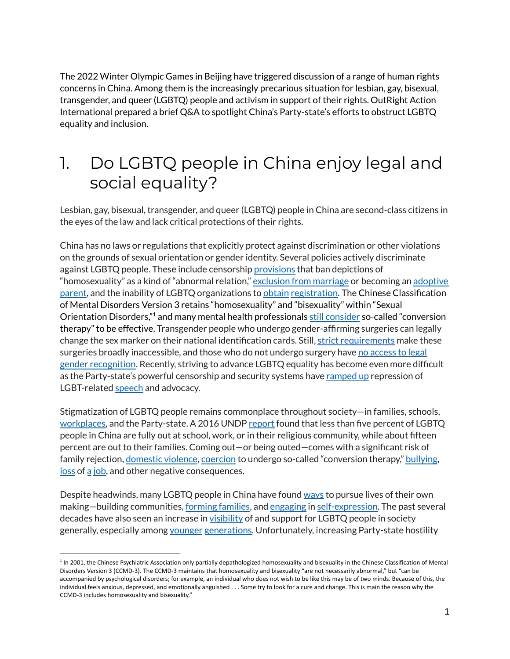The 2022 Winter Olympic Games in Beijing have triggered discussion of a range of human rights concerns in China. Among them is the increasingly precarious situation for lesbian, gay, bisexual, transgender, and queer (LGBTQ) people and activism in support of their rights. OutRight Action International prepared a brief Q&A to spotlight China's Party-state's efforts to obstruct LGBTQ equality and inclusion.

# 1. Do LGBTQ people in China enjoy legal and social equality?

Lesbian, gay, bisexual, transgender, and queer (LGBTQ) people in China are second-class citizens in the eyes of the law and lack critical protections of their rights.

China has no laws or regulations that explicitly protect against discrimination or other violations on the grounds of sexual orientation or gender identity. Several policies actively discriminate against LGBTQ people. These include censorship [provisions](https://www.brookings.edu/opinions/online-regulations-and-lgbt-rights-a-test-for-chinas-legal-system/) that ban depictions of "homosexuality" as a kind of "abnormal relation," [exclusion](https://www.reuters.com/article/us-china-lgbt-marriage-idUSKCN1VB09E) from marriage or becoming an [adoptive](http://english.www.gov.cn/services/liveinchina/202008/04/content_WS5f290cb6c6d029c1c26373d0.html) [parent](http://english.www.gov.cn/services/liveinchina/202008/04/content_WS5f290cb6c6d029c1c26373d0.html), and the inability of LGBTQ organizations to [obtain](https://www.bbc.com/news/world-asia-china-26631161) [registration.](https://outrightinternational.org/righttoregister) The Chinese Classification of Mental Disorders Version 3 retains "homosexuality" and "bisexuality" within "Sexual Orientation Disorders,"<sup>1</sup> and many mental health professionals still [consider](https://cnlgbtdata.com/files/uploads/2019/03/%E7%B2%BE%E7%A5%9E%E5%8D%AB%E7%94%9F%E4%B8%8E%E5%BF%83%E7%90%86%E5%92%A8%E8%AF%A2%E4%BB%8E%E4%B8%9A%E4%BA%BA%E5%91%98%E5%AF%B9%E6%80%A7%E5%B0%91%E6%95%B0%E7%9A%84%E6%80%81%E5%BA%A6%E8%B0%83%E6%9F%A5%E6%8A%A5%E5%91%8A%E4%B8%AD%E6%96%87%E7%89%88.pdf) so-called "conversion therapy" to be effective. Transgender people who undergo gender-affirming surgeries can legally change the sex marker on their national identification cards. Still, strict [requirements](https://www.amnestyusa.org/wp-content/uploads/2019/05/Barriers-to-gender-affirming-treatments-for-transgender-people-in-China.pdf) make these surgeries broadly in[access](https://www.cn.undp.org/content/china/en/home/library/democratic_governance/legal-gender-recognition-in-china--a-legal-and-policy-review-.html)ible, and those who do not undergo surgery have no access to legal gender [recognition](https://www.cn.undp.org/content/china/en/home/library/democratic_governance/legal-gender-recognition-in-china--a-legal-and-policy-review-.html). Recently, striving to advance LGBTQ equality has become even more difficult as the Party-state's powerful censorship and security systems have [ramped](https://www.cnn.com/2021/07/09/china/china-pride-month-lgbt-weibo-intl-mic-hnk/index.html) up repression of LGBT-related [speech](https://supchina.com/2017/09/29/online-haven-chinas-lgbt-community-meets-end-chinas-latest-society-culture-news/) and advocacy.

Stigmatization of LGBTQ people remains commonplace throughout society—in families, schools, [workplaces,](https://www.asia-pacific.undp.org/content/rbap/en/home/library/democratic_governance/hiv_aids/lgbti-people-and-employment--discrimination-based-on-sexual-orie.html) and the Party-state. A 2016 UNDP [report](https://www.asia-pacific.undp.org/content/rbap/en/home/library/democratic_governance/hiv_aids/being-lgbti-in-china--a-national-survey-on-social-attitudes-towa.html) found that less than five percent of LGBTQ people in China are fully out at school, work, or in their religious community, while about fifteen percent are out to their families. Coming out—or being outed—comes with a significant risk of family rejection, [domestic](https://www.rainbowun.org/uploadfile/2019/0530/20190530115849390.pdf) violence, [coercion](https://jamanetwork.com/journals/jamanetworkopen/fullarticle/2749453) to undergo so-called "conversion therapy," [bullying](https://www.sixthtone.com/news/2079/chinas-lgbt-youth-face-lots-of-bullying%2C-little-acceptance), [loss](https://www.theguardian.com/world/2015/jan/26/chinese-court-first-lawsuit-gay-workplace-discrimination) of [a](https://ph.news.yahoo.com/chinese-gay-teacher-files-unfair-075902535.html) [job](https://www.cnn.com/2021/03/26/china/china-southern-flight-attendant-trial-lgbtq-intl-dst-hnk/index.html), and other negative consequences.

Despite headwinds, many LGBTQ people in China have found [ways](https://www.nytimes.com/2020/03/05/magazine/blued-china-gay-dating-app.html) to pursue lives of their own making—building communities, [forming](https://www.reuters.com/article/us-china-lgbt-children-idUSKCN1OJ1XR) families, and [engaging](https://video.vice.com/en_asia/video/dragon-mama/6177ca64265cd261ff387211) in [self-expression.](https://www.nytimes.com/2020/01/17/travel/gay-art-beijing-china.html) The past several decades have also seen an increase in [visibility](https://www.hollywoodreporter.com/movies/movie-features/meet-oprah-china-who-happens-be-transgender-942750/) of and support for LGBTQ people in society generally, especially among [younger](https://williamsinstitute.law.ucla.edu/wp-content/uploads/Public-Opinion-Trans-China-English-Jun-2021.pdf) [generations.](https://r.cnki.net/kcms/detail/detail.aspx?filename=XKXZ202109049&dbcode=ZHKT_CJFD&dbname=CJFDAUTO&v=&uid=WEEvREcwSlJHSldSdmVqM1BLYmtFMTBaQnFoNmN4MU1jSUhjeWVZeUVMbz0=$9A4hF_YAuvQ5obgVAqNKPCYcEjKensW4IQMovwHtwkF4VYPoHbKxJw!!) Unfortunately, increasing Party-state hostility

<sup>&</sup>lt;sup>1</sup> In 2001, the Chinese Psychiatric Association only partially depathologized homosexuality and bisexuality in the Chinese Classification of Mental Disorders Version 3 (CCMD-3). The CCMD-3 maintains that homosexuality and bisexuality "are not necessarily abnormal," but "can be accompanied by psychological disorders; for example, an individual who does not wish to be like this may be of two minds. Because of this, the individual feels anxious, depressed, and emotionally anguished . . . Some try to look for a cure and change. This is main the reason why the CCMD-3 includes homosexuality and bisexuality."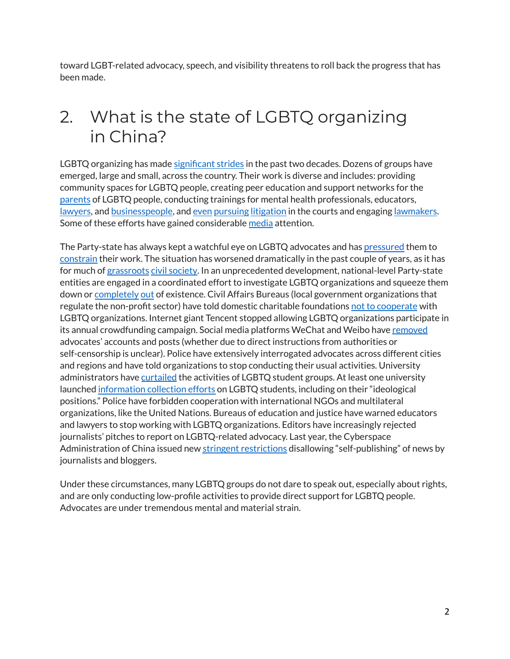toward LGBT-related advocacy, speech, and visibility threatens to roll back the progress that has been made.

# 2. What is the state of LGBTQ organizing in China?

LGBTQ organizing has made [significant](https://outrightinternational.org/sites/default/files/PrecariousProgress_2020_1215.pdf) strides in the past two decades. Dozens of groups have emerged, large and small, across the country. Their work is diverse and includes: providing community spaces for LGBTQ people, creating peer education and support networks for the [parents](https://www.abc.net.au/foreign/the-love-boat/9269324) of LGBTQ people, conducting trainings for mental health professionals, educators, [lawyers](https://www.sixthtone.com/news/727/meet-the-lawyers-fighting-for-lgbt-rights), and [businesspeople](https://www.globaltimes.cn/page/202105/1223668.shtml), and [even](https://apnews.com/article/health-china-beijing-asia-pacific-lawsuits-4d9d955cfbfd401b93f28ef4e9ffa5f8) [pursuing](https://outrightinternational.org/content/republish-chinese-transgender-employment-discrimination-case-wins-groundbreaking-court) [litigation](https://www.economist.com/china/2020/08/01/a-chinese-trans-woman-wins-a-surprising-legal-victory) in the courts and engaging [lawmakers.](https://www.sixthtone.com/ht_news/1004987/lgbt-supporters-lobby-for-same-sex-marriage-in-revised-civil-cod) Some of these efforts have gained considerable [media](https://www.npr.org/sections/thetwo-way/2016/04/13/474065742/chinese-court-rules-against-gay-couple-seeking-to-get-married) attention.

The Party-state has always kept a watchful eye on LGBTQ advocates and has [pressured](https://www.buzzfeednews.com/article/lesterfeder/nine-lgbt-activists-arrested-in-china-but-the-countrys-most) them to [constrain](https://www.reuters.com/article/us-china-lgbt-idUSKBN18R168) their work. The situation has worsened dramatically in the past couple of years, as it has for much of [grassroots](https://madeinchinajournal.com/2021/04/29/cultivate-aridity-and-deprive-them-of-air/) civil [society](https://www.prcleader.org/_files/ugd/af1ede_58c1283fa8724f2b84d562f2593fcfb7.pdf). In an unprecedented development, national-level Party-state entities are engaged in a coordinated effort to investigate LGBTQ organizations and squeeze them down or [completely](https://www.cnn.com/2020/08/14/asia/shanghai-pride-shutdown-intl-hnk/index.html) [out](https://apnews.com/article/technology-china-media-social-media-taiwan-348cab147964f24ccf83907403d4c84a) of existence. Civil Affairs Bureaus (local government organizations that regulate the non-profit sector) have told domestic charitable foundations not to [cooperate](https://www.protocol.com/china/tencent-charity-platform) with LGBTQ organizations. Internet giant Tencent stopped allowing LGBTQ organizations participate in its annual crowdfunding campaign. Social media platforms WeChat and Weibo have [removed](https://www.theguardian.com/world/2021/jul/08/outrage-over-crackdown-on-lgbtq-wechat-accounts-in-china) advocates' accounts and posts (whether due to direct instructions from authorities or self-censorship is unclear). Police have extensively interrogated advocates across different cities and regions and have told organizations to stop conducting their usual activities. University administrators have [curtailed](https://restofworld.org/2021/chinas-queer-internet-is-being-erased/) the activities of LGBTQ student groups. At least one university launched [information](https://supchina.com/2021/08/26/a-chinese-university-seems-to-be-making-a-list-of-lgbt-students-no-one-knows-what-it-will-do-with-the-information/) collection efforts on LGBTQ students, including on their "ideological positions." Police have forbidden cooperation with international NGOs and multilateral organizations, like the United Nations. Bureaus of education and justice have warned educators and lawyers to stop working with LGBTQ organizations. Editors have increasingly rejected journalists' pitches to report on LGBTQ-related advocacy. Last year, the Cyberspace Administration of China issued new stringent [restrictions](https://www.inkstonenews.com/society/china-lgbt-groups-squeezed-china-tightens-rules-internet-publishing/article/3120714) disallowing "self-publishing" of news by journalists and bloggers.

Under these circumstances, many LGBTQ groups do not dare to speak out, especially about rights, and are only conducting low-profile activities to provide direct support for LGBTQ people. Advocates are under tremendous mental and material strain.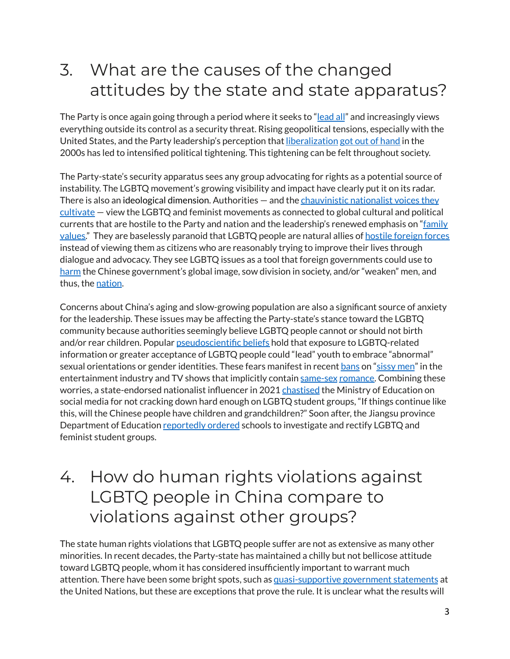### 3. What are the causes of the changed attitudes by the state and state apparatus?

The Party is once again going through a period where it seeks to "[lead all](https://merics.org/en/report/party-leads-everything)" and increasingly views everything outside its control as a security threat. Rising geopolitical tensions, especially with the United States, and the Party leadership's perception that [liberalization](https://www.chinafile.com/reporting-opinion/viewpoint/its-true-democracy-china-retreat-dont-give-it-now) [got out of hand](https://www.jstor.org/stable/26533131?seq=1#metadata_info_tab_contents) in the 2000s has led to intensified political tightening. This tightening can be felt throughout society.

The Party-state's security apparatus sees any group advocating for rights as a potential source of instability. The LGBTQ movement's growing visibility and impact have clearly put it on its radar. There is also an ideological dimension. Authorities – and the [chauvinistic nationalist voices they](https://www.protocol.com/china/china-wechat-delete-lgbt-accounts) [cultivate](https://www.protocol.com/china/china-wechat-delete-lgbt-accounts) — view the LGBTQ and feminist movements as connected to global cultural and political currents that are hostile to the Party and nation and the leadership's renewed emphasis on ["family](https://www.wilsoncenter.org/sites/default/files/media/uploads/documents/The_Violence_of_Shuttering_Feminist_and_Queer_Communications.pdf) [values.](https://www.wilsoncenter.org/sites/default/files/media/uploads/documents/The_Violence_of_Shuttering_Feminist_and_Queer_Communications.pdf)" They are baselessly paranoid that LGBTQ people are natural allies of **[hostile foreign forces](https://www.globaltimes.cn/page/202104/1221182.shtml)** instead of viewing them as citizens who are reasonably trying to improve their lives through dialogue and advocacy. They see LGBTQ issues as a tool that foreign governments could use to [harm](https://www.globaltimes.cn/page/202112/1240533.shtml) the Chinese government's global image, sow division in society, and/or "weaken" men, and thus, the [nation](https://www.nbcnews.com/news/world/china-proposes-teaching-masculinity-boys-state-alarmed-changing-gender-roles-n1258939).

Concerns about China's aging and slow-growing population are also a significant source of anxiety for the leadership. These issues may be affecting the Party-state's stance toward the LGBTQ community because authorities seemingly believe LGBTQ people cannot or should not birth and/or rear children. Popular [pseudoscientific beliefs](https://www.chinafile.com/reporting-opinion/viewpoint/converting-converters) hold that exposure to LGBTQ-related information or greater acceptance of LGBTQ people could "lead" youth to embrace "abnormal" sexual orientations or gender identities. These fears manifest in recent [bans](https://www.npr.org/2021/09/02/1033687586/china-ban-effeminate-men-tv-official-morality) on ["sissy men](https://www.sixthtone.com/news/1008389/chinas-ongoing-struggle-against-sissy-young-men)" in the entertainment industry and TV shows that implicitly contain [same-sex](https://www.vice.com/en/article/7k95mg/boys-love-drama-china-tv-untamed-lgbtq) [romance.](https://www.scmp.com/news/people-culture/china-personalities/article/3165101/china-moves-kill-romantic-gay-themed-boys) Combining these worries, a state-endorsed nationalist influencer in 2021 [chastised](https://weibo.com/5067914848/Kga8073pq?refer_flag=1001030103_) the Ministry of Education on social media for not cracking down hard enough on LGBTQ student groups, "If things continue like this, will the Chinese people have children and grandchildren?" Soon after, the Jiangsu province Department of Education [reportedly ordered](https://twitter.com/davidpaulk/status/1395585511108976640) schools to investigate and rectify LGBTQ and feminist student groups.

### 4. How do human rights violations against LGBTQ people in China compare to violations against other groups?

The state human rights violations that LGBTQ people suffer are not as extensive as many other minorities. In recent decades, the Party-state has maintained a chilly but not bellicose attitude toward LGBTQ people, whom it has considered insufficiently important to warrant much attention. There have been some bright spots, such as [quasi-supportive government statements](https://www.openglobalrights.org/using-the-un-to-advance-lgbt-rights-in-china/) at the United Nations, but these are exceptions that prove the rule. It is unclear what the results will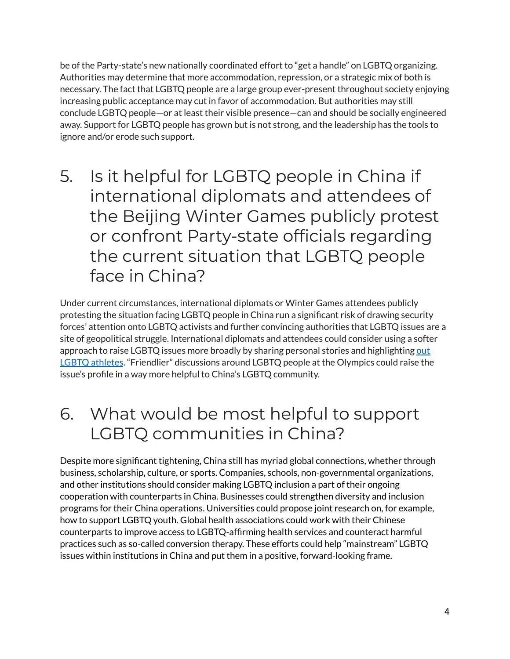be of the Party-state's new nationally coordinated effort to "get a handle" on LGBTQ organizing. Authorities may determine that more accommodation, repression, or a strategic mix of both is necessary. The fact that LGBTQ people are a large group ever-present throughout society enjoying increasing public acceptance may cut in favor of accommodation. But authorities may still conclude LGBTQ people—or at least their visible presence—can and should be socially engineered away. Support for LGBTQ people has grown but is not strong, and the leadership has the tools to ignore and/or erode such support.

5. Is it helpful for LGBTQ people in China if international diplomats and attendees of the Beijing Winter Games publicly protest or confront Party-state officials regarding the current situation that LGBTQ people face in China?

Under current circumstances, international diplomats or Winter Games attendees publicly protesting the situation facing LGBTQ people in China run a significant risk of drawing security forces' attention onto LGBTQ activists and further convincing authorities that LGBTQ issues are a site of geopolitical struggle. International diplomats and attendees could consider using a softer approach to raise LGBTQ issues more broadly by sharing personal stories and highlighting [out](https://www.scmp.com/sport/china/article/3165292/winter-olympics-approach-where-are-chinas-gay-athletes-beijing-2022-set) LGBTQ [athletes](https://www.scmp.com/sport/china/article/3165292/winter-olympics-approach-where-are-chinas-gay-athletes-beijing-2022-set). "Friendlier" discussions around LGBTQ people at the Olympics could raise the issue's profile in a way more helpful to China's LGBTQ community.

6. What would be most helpful to support LGBTQ communities in China?

Despite more significant tightening, China still has myriad global connections, whether through business, scholarship, culture, or sports. Companies, schools, non-governmental organizations, and other institutions should consider making LGBTQ inclusion a part of their ongoing cooperation with counterparts in China. Businesses could strengthen diversity and inclusion programs for their China operations. Universities could propose joint research on, for example, how to support LGBTQ youth. Global health associations could work with their Chinese counterparts to improve access to LGBTQ-affirming health services and counteract harmful practices such as so-called conversion therapy. These efforts could help "mainstream" LGBTQ issues within institutions in China and put them in a positive, forward-looking frame.